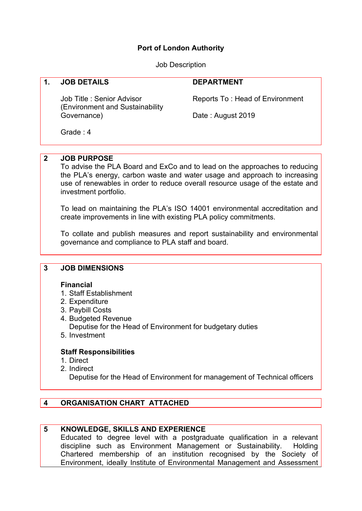## **Port of London Authority**

Job Description

### **1. JOB DETAILS**

Job Title : Senior Advisor (Environment and Sustainability Governance)

#### **DEPARTMENT**

Reports To : Head of Environment

Date : August 2019

Grade : 4

# **2 JOB PURPOSE**

To advise the PLA Board and ExCo and to lead on the approaches to reducing the PLA's energy, carbon waste and water usage and approach to increasing use of renewables in order to reduce overall resource usage of the estate and investment portfolio.

To lead on maintaining the PLA's ISO 14001 environmental accreditation and create improvements in line with existing PLA policy commitments.

To collate and publish measures and report sustainability and environmental governance and compliance to PLA staff and board.

### **3 JOB DIMENSIONS**

### **Financial**

- 1. Staff Establishment
- 2. Expenditure
- 3. Paybill Costs
- 4. Budgeted Revenue Deputise for the Head of Environment for budgetary duties
- 5. Investment

### **Staff Responsibilities**

- 1. Direct
- 2. Indirect

Deputise for the Head of Environment for management of Technical officers

# **4 ORGANISATION CHART ATTACHED**

### **5 KNOWLEDGE, SKILLS AND EXPERIENCE**

Educated to degree level with a postgraduate qualification in a relevant discipline such as Environment Management or Sustainability. Holding Chartered membership of an institution recognised by the Society of Environment, ideally Institute of Environmental Management and Assessment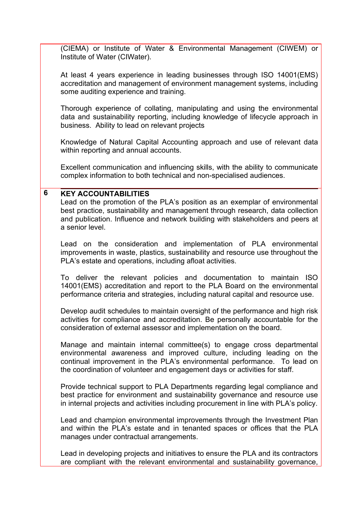(CIEMA) or Institute of Water & Environmental Management (CIWEM) or Institute of Water (CIWater).

At least 4 years experience in leading businesses through ISO 14001(EMS) accreditation and management of environment management systems, including some auditing experience and training.

Thorough experience of collating, manipulating and using the environmental data and sustainability reporting, including knowledge of lifecycle approach in business. Ability to lead on relevant projects

Knowledge of Natural Capital Accounting approach and use of relevant data within reporting and annual accounts.

Excellent communication and influencing skills, with the ability to communicate complex information to both technical and non-specialised audiences.

### **6 KEY ACCOUNTABILITIES**

Lead on the promotion of the PLA's position as an exemplar of environmental best practice, sustainability and management through research, data collection and publication. Influence and network building with stakeholders and peers at a senior level.

Lead on the consideration and implementation of PLA environmental improvements in waste, plastics, sustainability and resource use throughout the PLA's estate and operations, including afloat activities.

To deliver the relevant policies and documentation to maintain ISO 14001(EMS) accreditation and report to the PLA Board on the environmental performance criteria and strategies, including natural capital and resource use.

Develop audit schedules to maintain oversight of the performance and high risk activities for compliance and accreditation. Be personally accountable for the consideration of external assessor and implementation on the board.

Manage and maintain internal committee(s) to engage cross departmental environmental awareness and improved culture, including leading on the continual improvement in the PLA's environmental performance. To lead on the coordination of volunteer and engagement days or activities for staff.

Provide technical support to PLA Departments regarding legal compliance and best practice for environment and sustainability governance and resource use in internal projects and activities including procurement in line with PLA's policy.

Lead and champion environmental improvements through the Investment Plan and within the PLA's estate and in tenanted spaces or offices that the PLA manages under contractual arrangements.

Lead in developing projects and initiatives to ensure the PLA and its contractors are compliant with the relevant environmental and sustainability governance,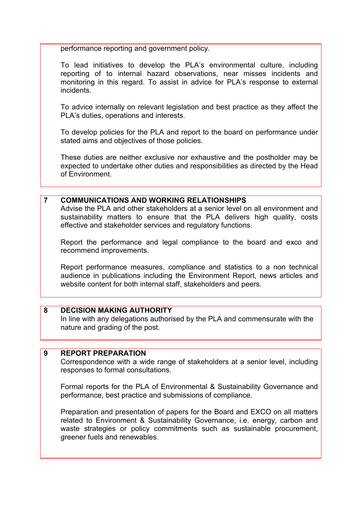performance reporting and government policy.

To lead initiatives to develop the PLA's environmental culture, including reporting of to internal hazard observations, near misses incidents and monitoring in this regard. To assist in advice for PLA's response to external incidents.

To advice internally on relevant legislation and best practice as they affect the PLA's duties, operations and interests.

To develop policies for the PLA and report to the board on performance under stated aims and objectives of those policies.

These duties are neither exclusive nor exhaustive and the postholder may be expected to undertake other duties and responsibilities as directed by the Head of Environment.

### **7 COMMUNICATIONS AND WORKING RELATIONSHIPS**

Advise the PLA and other stakeholders at a senior level on all environment and sustainability matters to ensure that the PLA delivers high quality, costs effective and stakeholder services and regulatory functions.

Report the performance and legal compliance to the board and exco and recommend improvements.

Report performance measures, compliance and statistics to a non technical audience in publications including the Environment Report, news articles and website content for both internal staff, stakeholders and peers.

### **8 DECISION MAKING AUTHORITY**

In line with any delegations authorised by the PLA and commensurate with the nature and grading of the post.

### **9 REPORT PREPARATION**

Correspondence with a wide range of stakeholders at a senior level, including responses to formal consultations.

Formal reports for the PLA of Environmental & Sustainability Governance and performance, best practice and submissions of compliance.

Preparation and presentation of papers for the Board and EXCO on all matters related to Environment & Sustainability Governance, i.e. energy, carbon and waste strategies or policy commitments such as sustainable procurement, greener fuels and renewables.